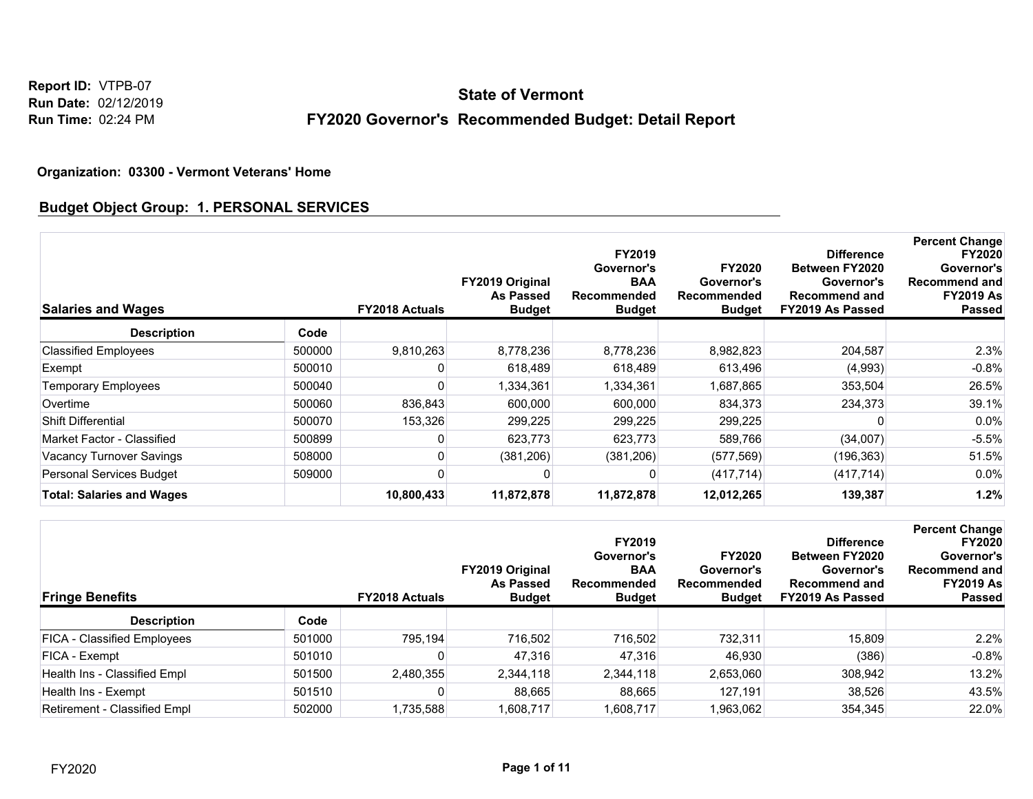# **FY2020 Governor's Recommended Budget: Detail Report State of Vermont**

#### **Organization: 03300 - Vermont Veterans' Home**

### **Budget Object Group: 1. PERSONAL SERVICES**

| <b>Salaries and Wages</b>        |        | <b>FY2018 Actuals</b> | FY2019 Original<br><b>As Passed</b><br><b>Budget</b> | FY2019<br>Governor's<br><b>BAA</b><br><b>Recommended</b><br><b>Budget</b> | <b>FY2020</b><br>Governor's<br>Recommended<br><b>Budget</b> | <b>Difference</b><br>Between FY2020<br>Governor's<br><b>Recommend and</b><br>FY2019 As Passed | <b>Percent Change</b><br><b>FY2020</b><br>Governor's<br><b>Recommend and</b><br><b>FY2019 As</b><br><b>Passed</b> |
|----------------------------------|--------|-----------------------|------------------------------------------------------|---------------------------------------------------------------------------|-------------------------------------------------------------|-----------------------------------------------------------------------------------------------|-------------------------------------------------------------------------------------------------------------------|
| <b>Description</b>               | Code   |                       |                                                      |                                                                           |                                                             |                                                                                               |                                                                                                                   |
| <b>Classified Employees</b>      | 500000 | 9,810,263             | 8,778,236                                            | 8,778,236                                                                 | 8,982,823                                                   | 204,587                                                                                       | 2.3%                                                                                                              |
| Exempt                           | 500010 |                       | 618,489                                              | 618,489                                                                   | 613,496                                                     | (4.993)                                                                                       | $-0.8%$                                                                                                           |
| <b>Temporary Employees</b>       | 500040 | 0                     | 1,334,361                                            | 1,334,361                                                                 | 1,687,865                                                   | 353,504                                                                                       | 26.5%                                                                                                             |
| Overtime                         | 500060 | 836,843               | 600,000                                              | 600,000                                                                   | 834,373                                                     | 234,373                                                                                       | 39.1%                                                                                                             |
| Shift Differential               | 500070 | 153,326               | 299,225                                              | 299,225                                                                   | 299,225                                                     |                                                                                               | $0.0\%$                                                                                                           |
| Market Factor - Classified       | 500899 | 0                     | 623,773                                              | 623,773                                                                   | 589,766                                                     | (34,007)                                                                                      | $-5.5%$                                                                                                           |
| Vacancy Turnover Savings         | 508000 |                       | (381, 206)                                           | (381, 206)                                                                | (577, 569)                                                  | (196, 363)                                                                                    | 51.5%                                                                                                             |
| <b>Personal Services Budget</b>  | 509000 |                       |                                                      |                                                                           | (417, 714)                                                  | (417, 714)                                                                                    | $0.0\%$                                                                                                           |
| <b>Total: Salaries and Wages</b> |        | 10,800,433            | 11,872,878                                           | 11,872,878                                                                | 12,012,265                                                  | 139,387                                                                                       | 1.2%                                                                                                              |

| <b>Fringe Benefits</b>       |        | <b>FY2018 Actuals</b> | <b>FY2019 Original</b><br>As Passed<br><b>Budget</b> | <b>FY2019</b><br>Governor's<br><b>BAA</b><br>Recommended<br><b>Budget</b> | <b>FY2020</b><br>Governor's<br>Recommended<br><b>Budget</b> | <b>Difference</b><br><b>Between FY2020</b><br>Governor's<br><b>Recommend and</b><br>FY2019 As Passed | <b>Percent Change</b><br><b>FY2020</b><br>Governor's<br><b>Recommend and</b><br><b>FY2019 As</b><br><b>Passed</b> |
|------------------------------|--------|-----------------------|------------------------------------------------------|---------------------------------------------------------------------------|-------------------------------------------------------------|------------------------------------------------------------------------------------------------------|-------------------------------------------------------------------------------------------------------------------|
| <b>Description</b>           | Code   |                       |                                                      |                                                                           |                                                             |                                                                                                      |                                                                                                                   |
| FICA - Classified Employees  | 501000 | 795.194               | 716,502                                              | 716,502                                                                   | 732.311                                                     | 15.809                                                                                               | 2.2%                                                                                                              |
| FICA - Exempt                | 501010 |                       | 47,316                                               | 47,316                                                                    | 46,930                                                      | (386)                                                                                                | $-0.8%$                                                                                                           |
| Health Ins - Classified Empl | 501500 | 2,480,355             | 2,344,118                                            | 2.344.118                                                                 | 2,653,060                                                   | 308,942                                                                                              | 13.2%                                                                                                             |
| Health Ins - Exempt          | 501510 |                       | 88,665                                               | 88,665                                                                    | 127.191                                                     | 38.526                                                                                               | 43.5%                                                                                                             |
| Retirement - Classified Empl | 502000 | 1,735,588             | 1,608,717                                            | 1,608,717                                                                 | 1,963,062                                                   | 354,345                                                                                              | 22.0%                                                                                                             |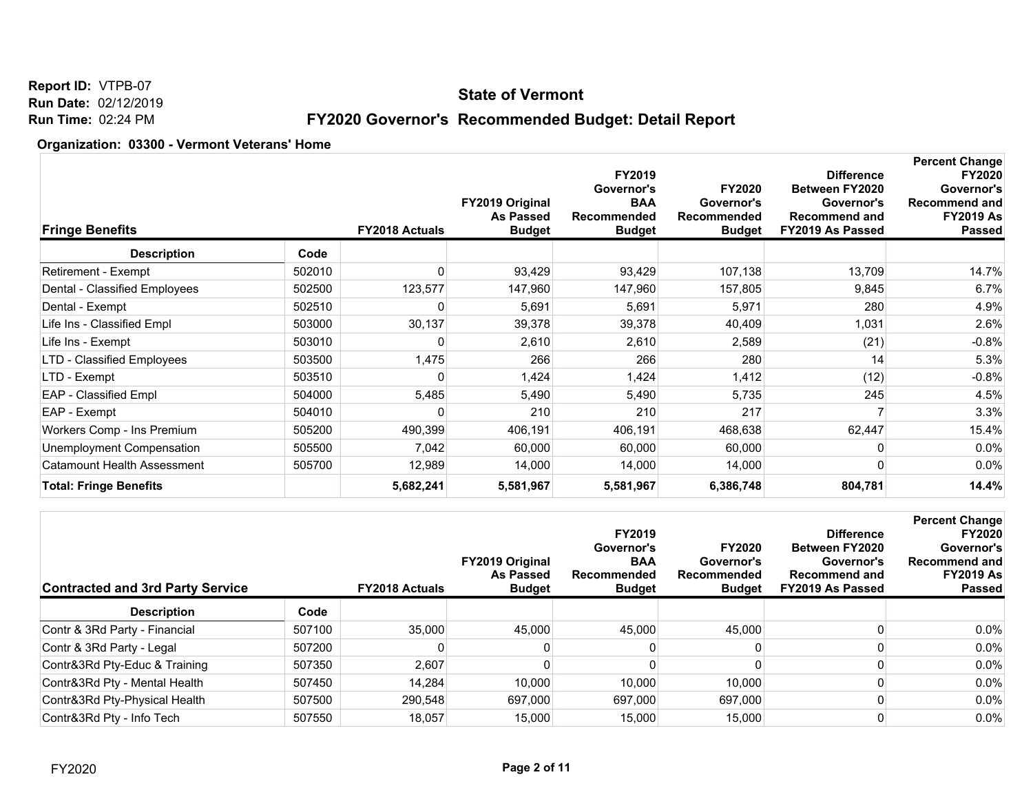### **State of Vermont**

# **FY2020 Governor's Recommended Budget: Detail Report**

| <b>Fringe Benefits</b>        |        | <b>FY2018 Actuals</b> | <b>FY2019 Original</b><br><b>As Passed</b><br><b>Budget</b> | FY2019<br>Governor's<br><b>BAA</b><br>Recommended<br><b>Budget</b> | <b>FY2020</b><br>Governor's<br>Recommended<br><b>Budget</b> | <b>Difference</b><br><b>Between FY2020</b><br>Governor's<br><b>Recommend and</b><br>FY2019 As Passed | <b>Percent Change</b><br><b>FY2020</b><br>Governor's<br><b>Recommend and</b><br><b>FY2019 As</b><br><b>Passed</b> |
|-------------------------------|--------|-----------------------|-------------------------------------------------------------|--------------------------------------------------------------------|-------------------------------------------------------------|------------------------------------------------------------------------------------------------------|-------------------------------------------------------------------------------------------------------------------|
| <b>Description</b>            | Code   |                       |                                                             |                                                                    |                                                             |                                                                                                      |                                                                                                                   |
| Retirement - Exempt           | 502010 |                       | 93,429                                                      | 93,429                                                             | 107,138                                                     | 13,709                                                                                               | 14.7%                                                                                                             |
| Dental - Classified Employees | 502500 | 123,577               | 147,960                                                     | 147,960                                                            | 157,805                                                     | 9,845                                                                                                | 6.7%                                                                                                              |
| Dental - Exempt               | 502510 |                       | 5,691                                                       | 5,691                                                              | 5,971                                                       | 280                                                                                                  | 4.9%                                                                                                              |
| Life Ins - Classified Empl    | 503000 | 30,137                | 39,378                                                      | 39,378                                                             | 40,409                                                      | 1,031                                                                                                | 2.6%                                                                                                              |
| Life Ins - Exempt             | 503010 |                       | 2,610                                                       | 2,610                                                              | 2,589                                                       | (21)                                                                                                 | $-0.8%$                                                                                                           |
| LTD - Classified Employees    | 503500 | 1,475                 | 266                                                         | 266                                                                | 280                                                         | 14                                                                                                   | 5.3%                                                                                                              |
| LTD - Exempt                  | 503510 | O                     | 1,424                                                       | 1,424                                                              | 1,412                                                       | (12)                                                                                                 | $-0.8%$                                                                                                           |
| <b>EAP</b> - Classified Empl  | 504000 | 5,485                 | 5,490                                                       | 5,490                                                              | 5,735                                                       | 245                                                                                                  | 4.5%                                                                                                              |
| EAP - Exempt                  | 504010 |                       | 210                                                         | 210                                                                | 217                                                         |                                                                                                      | 3.3%                                                                                                              |
| Workers Comp - Ins Premium    | 505200 | 490,399               | 406,191                                                     | 406,191                                                            | 468,638                                                     | 62,447                                                                                               | 15.4%                                                                                                             |
| Unemployment Compensation     | 505500 | 7,042                 | 60,000                                                      | 60,000                                                             | 60,000                                                      | 0                                                                                                    | 0.0%                                                                                                              |
| Catamount Health Assessment   | 505700 | 12,989                | 14,000                                                      | 14,000                                                             | 14,000                                                      | 0                                                                                                    | $0.0\%$                                                                                                           |
| <b>Total: Fringe Benefits</b> |        | 5,682,241             | 5,581,967                                                   | 5,581,967                                                          | 6,386,748                                                   | 804,781                                                                                              | 14.4%                                                                                                             |

| <b>Contracted and 3rd Party Service</b> |        | <b>FY2018 Actuals</b> | <b>FY2019 Original</b><br><b>As Passed</b><br><b>Budget</b> | <b>FY2019</b><br>Governor's<br><b>BAA</b><br>Recommended<br><b>Budget</b> | <b>FY2020</b><br>Governor's<br>Recommended<br><b>Budget</b> | <b>Difference</b><br>Between FY2020<br>Governor's<br>Recommend and<br>FY2019 As Passed | <b>Percent Change</b><br><b>FY2020</b><br>Governor's<br><b>Recommend and</b><br><b>FY2019 As</b><br><b>Passed</b> |
|-----------------------------------------|--------|-----------------------|-------------------------------------------------------------|---------------------------------------------------------------------------|-------------------------------------------------------------|----------------------------------------------------------------------------------------|-------------------------------------------------------------------------------------------------------------------|
| <b>Description</b>                      | Code   |                       |                                                             |                                                                           |                                                             |                                                                                        |                                                                                                                   |
| Contr & 3Rd Party - Financial           | 507100 | 35,000                | 45,000                                                      | 45.000                                                                    | 45.000                                                      |                                                                                        | 0.0%                                                                                                              |
| Contr & 3Rd Party - Legal               | 507200 |                       |                                                             |                                                                           |                                                             |                                                                                        | 0.0%                                                                                                              |
| Contr&3Rd Pty-Educ & Training           | 507350 | 2,607                 |                                                             |                                                                           |                                                             |                                                                                        | 0.0%                                                                                                              |
| Contr&3Rd Pty - Mental Health           | 507450 | 14.284                | 10,000                                                      | 10,000                                                                    | 10,000                                                      |                                                                                        | 0.0%                                                                                                              |
| Contr&3Rd Pty-Physical Health           | 507500 | 290.548               | 697,000                                                     | 697.000                                                                   | 697.000                                                     |                                                                                        | 0.0%                                                                                                              |
| Contr&3Rd Pty - Info Tech               | 507550 | 18,057                | 15,000                                                      | 15,000                                                                    | 15,000                                                      |                                                                                        | 0.0%                                                                                                              |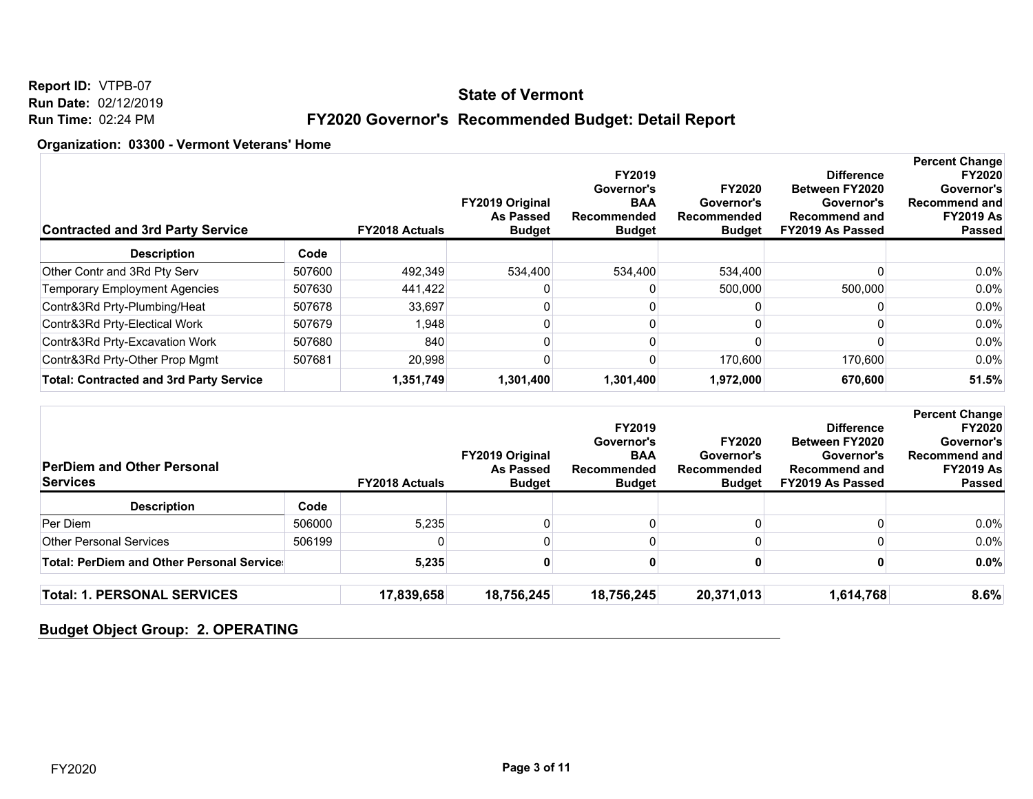### **State of Vermont**

**Report ID:** VTPB-07 **Run Date:** 02/12/2019 **Run Time:** 02:24 PM

# **FY2020 Governor's Recommended Budget: Detail Report**

#### **Organization: 03300 - Vermont Veterans' Home**

| <b>Contracted and 3rd Party Service</b>        |        | <b>FY2018 Actuals</b> | <b>FY2019 Original</b><br><b>As Passed</b><br><b>Budget</b> | FY2019<br>Governor's<br><b>BAA</b><br>Recommended<br><b>Budget</b> | <b>FY2020</b><br>Governor's<br>Recommended<br><b>Budget</b> | <b>Difference</b><br><b>Between FY2020</b><br>Governor's<br><b>Recommend and</b><br>FY2019 As Passed | <b>Percent Change</b><br><b>FY2020</b><br>Governor's<br><b>Recommend and</b><br><b>FY2019 As</b><br><b>Passed</b> |
|------------------------------------------------|--------|-----------------------|-------------------------------------------------------------|--------------------------------------------------------------------|-------------------------------------------------------------|------------------------------------------------------------------------------------------------------|-------------------------------------------------------------------------------------------------------------------|
| <b>Description</b>                             | Code   |                       |                                                             |                                                                    |                                                             |                                                                                                      |                                                                                                                   |
| Other Contr and 3Rd Pty Serv                   | 507600 | 492,349               | 534,400                                                     | 534,400                                                            | 534,400                                                     |                                                                                                      | $0.0\%$                                                                                                           |
| <b>Temporary Employment Agencies</b>           | 507630 | 441,422               |                                                             |                                                                    | 500.000                                                     | 500,000                                                                                              | $0.0\%$                                                                                                           |
| Contr&3Rd Prty-Plumbing/Heat                   | 507678 | 33.697                |                                                             |                                                                    |                                                             |                                                                                                      | $0.0\%$                                                                                                           |
| Contr&3Rd Prty-Electical Work                  | 507679 | 1,948                 |                                                             |                                                                    |                                                             |                                                                                                      | $0.0\%$                                                                                                           |
| Contr&3Rd Prty-Excavation Work                 | 507680 | 840                   |                                                             |                                                                    |                                                             |                                                                                                      | $0.0\%$                                                                                                           |
| Contr&3Rd Prty-Other Prop Mgmt                 | 507681 | 20.998                |                                                             |                                                                    | 170.600                                                     | 170,600                                                                                              | $0.0\%$                                                                                                           |
| <b>Total: Contracted and 3rd Party Service</b> |        | 1,351,749             | 1,301,400                                                   | 1,301,400                                                          | 1,972,000                                                   | 670,600                                                                                              | 51.5%                                                                                                             |

| <b>PerDiem and Other Personal</b><br><b>Services</b> |        | <b>FY2018 Actuals</b> | <b>FY2019 Original</b><br>As Passed<br><b>Budget</b> | <b>FY2019</b><br>Governor's<br><b>BAA</b><br>Recommended<br><b>Budget</b> | <b>FY2020</b><br>Governor's<br>Recommended<br><b>Budget</b> | <b>Difference</b><br><b>Between FY2020</b><br>Governor's<br><b>Recommend and</b><br>FY2019 As Passed | <b>Percent Change</b><br><b>FY2020</b><br>Governor's<br>Recommend and<br><b>FY2019 As</b><br><b>Passed</b> |
|------------------------------------------------------|--------|-----------------------|------------------------------------------------------|---------------------------------------------------------------------------|-------------------------------------------------------------|------------------------------------------------------------------------------------------------------|------------------------------------------------------------------------------------------------------------|
| <b>Description</b>                                   | Code   |                       |                                                      |                                                                           |                                                             |                                                                                                      |                                                                                                            |
| Per Diem                                             | 506000 | 5,235                 |                                                      |                                                                           |                                                             |                                                                                                      | $0.0\%$                                                                                                    |
| <b>Other Personal Services</b>                       | 506199 |                       |                                                      |                                                                           |                                                             |                                                                                                      | 0.0%                                                                                                       |
| <b>Total: PerDiem and Other Personal Service:</b>    |        | 5,235                 |                                                      |                                                                           |                                                             |                                                                                                      | $0.0\%$                                                                                                    |
| <b>Total: 1. PERSONAL SERVICES</b>                   |        | 17,839,658            | 18,756,245                                           | 18,756,245                                                                | 20,371,013                                                  | 1,614,768                                                                                            | 8.6%                                                                                                       |

## **Budget Object Group: 2. OPERATING**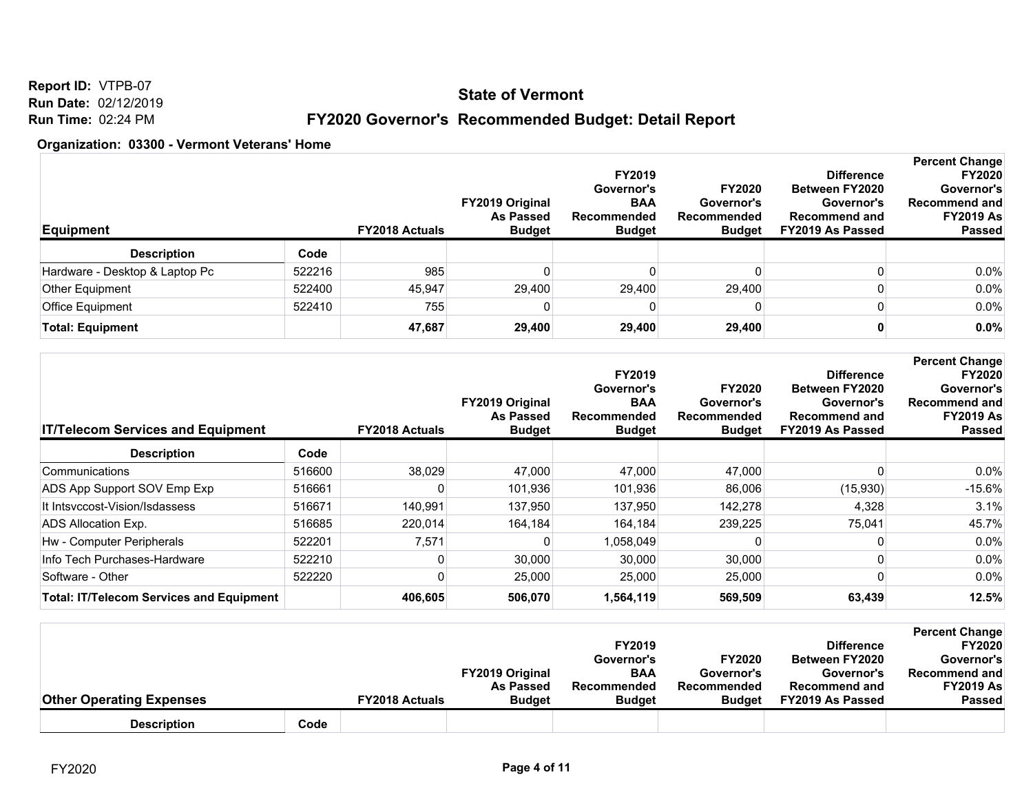### **State of Vermont**

**Report ID:** VTPB-07 **Run Date:** 02/12/2019 **Run Time:** 02:24 PM

# **FY2020 Governor's Recommended Budget: Detail Report**

| <b>Equipment</b>               |        | <b>FY2018 Actuals</b> | <b>FY2019 Original</b><br><b>As Passed</b><br><b>Budget</b> | <b>FY2019</b><br>Governor's<br><b>BAA</b><br>Recommended<br><b>Budget</b> | <b>FY2020</b><br>Governor's<br>Recommended<br><b>Budget</b> | <b>Difference</b><br><b>Between FY2020</b><br>Governor's<br><b>Recommend and</b><br>FY2019 As Passed | <b>Percent Change</b><br><b>FY2020</b><br>Governor's<br><b>Recommend and</b><br><b>FY2019 As</b><br><b>Passed</b> |
|--------------------------------|--------|-----------------------|-------------------------------------------------------------|---------------------------------------------------------------------------|-------------------------------------------------------------|------------------------------------------------------------------------------------------------------|-------------------------------------------------------------------------------------------------------------------|
| <b>Description</b>             | Code   |                       |                                                             |                                                                           |                                                             |                                                                                                      |                                                                                                                   |
| Hardware - Desktop & Laptop Pc | 522216 | 985                   |                                                             |                                                                           |                                                             |                                                                                                      | $0.0\%$                                                                                                           |
| Other Equipment                | 522400 | 45.947                | 29,400                                                      | 29.400                                                                    | 29.400                                                      |                                                                                                      | 0.0%                                                                                                              |
| Office Equipment               | 522410 | 755                   |                                                             | 0                                                                         |                                                             |                                                                                                      | $0.0\%$                                                                                                           |
| <b>Total: Equipment</b>        |        | 47,687                | 29,400                                                      | 29,400                                                                    | 29.400                                                      |                                                                                                      | 0.0%                                                                                                              |

| <b>IT/Telecom Services and Equipment</b>        |        | <b>FY2018 Actuals</b> | FY2019 Original<br>As Passed<br><b>Budget</b> | FY2019<br>Governor's<br><b>BAA</b><br>Recommended<br><b>Budget</b> | <b>FY2020</b><br>Governor's<br><b>Recommended</b><br><b>Budget</b> | <b>Difference</b><br><b>Between FY2020</b><br>Governor's<br><b>Recommend and</b><br>FY2019 As Passed | <b>Percent Change</b><br><b>FY2020</b><br>Governor's<br><b>Recommend and</b><br><b>FY2019 As</b><br><b>Passed</b> |
|-------------------------------------------------|--------|-----------------------|-----------------------------------------------|--------------------------------------------------------------------|--------------------------------------------------------------------|------------------------------------------------------------------------------------------------------|-------------------------------------------------------------------------------------------------------------------|
| <b>Description</b>                              | Code   |                       |                                               |                                                                    |                                                                    |                                                                                                      |                                                                                                                   |
| Communications                                  | 516600 | 38,029                | 47,000                                        | 47,000                                                             | 47,000                                                             |                                                                                                      | 0.0%                                                                                                              |
| ADS App Support SOV Emp Exp                     | 516661 |                       | 101,936                                       | 101,936                                                            | 86,006                                                             | (15,930)                                                                                             | $-15.6%$                                                                                                          |
| It Intsyccost-Vision/Isdassess                  | 516671 | 140,991               | 137,950                                       | 137.950                                                            | 142,278                                                            | 4,328                                                                                                | 3.1%                                                                                                              |
| ADS Allocation Exp.                             | 516685 | 220,014               | 164,184                                       | 164,184                                                            | 239,225                                                            | 75,041                                                                                               | 45.7%                                                                                                             |
| Hw - Computer Peripherals                       | 522201 | 7,571                 |                                               | 1,058,049                                                          |                                                                    |                                                                                                      | 0.0%                                                                                                              |
| Info Tech Purchases-Hardware                    | 522210 |                       | 30,000                                        | 30.000                                                             | 30,000                                                             |                                                                                                      | 0.0%                                                                                                              |
| Software - Other                                | 522220 |                       | 25,000                                        | 25,000                                                             | 25,000                                                             |                                                                                                      | 0.0%                                                                                                              |
| <b>Total: IT/Telecom Services and Equipment</b> |        | 406,605               | 506,070                                       | 1,564,119                                                          | 569,509                                                            | 63,439                                                                                               | 12.5%                                                                                                             |

|                                 |      |                       |                        | FY2019        |               | <b>Difference</b>     | <b>Percent Change</b><br><b>FY2020</b> |
|---------------------------------|------|-----------------------|------------------------|---------------|---------------|-----------------------|----------------------------------------|
|                                 |      |                       |                        | Governor's    | <b>FY2020</b> | <b>Between FY2020</b> | Governor's                             |
|                                 |      |                       | <b>FY2019 Original</b> | <b>BAA</b>    | Governor's    | Governor's            | <b>Recommend and</b>                   |
|                                 |      |                       | <b>As Passed</b>       | Recommended   | Recommended   | <b>Recommend and</b>  | <b>FY2019 As</b>                       |
| <b>Other Operating Expenses</b> |      | <b>FY2018 Actuals</b> | <b>Budget</b>          | <b>Budget</b> | <b>Budget</b> | FY2019 As Passed      | <b>Passed</b>                          |
| <b>Description</b>              | Code |                       |                        |               |               |                       |                                        |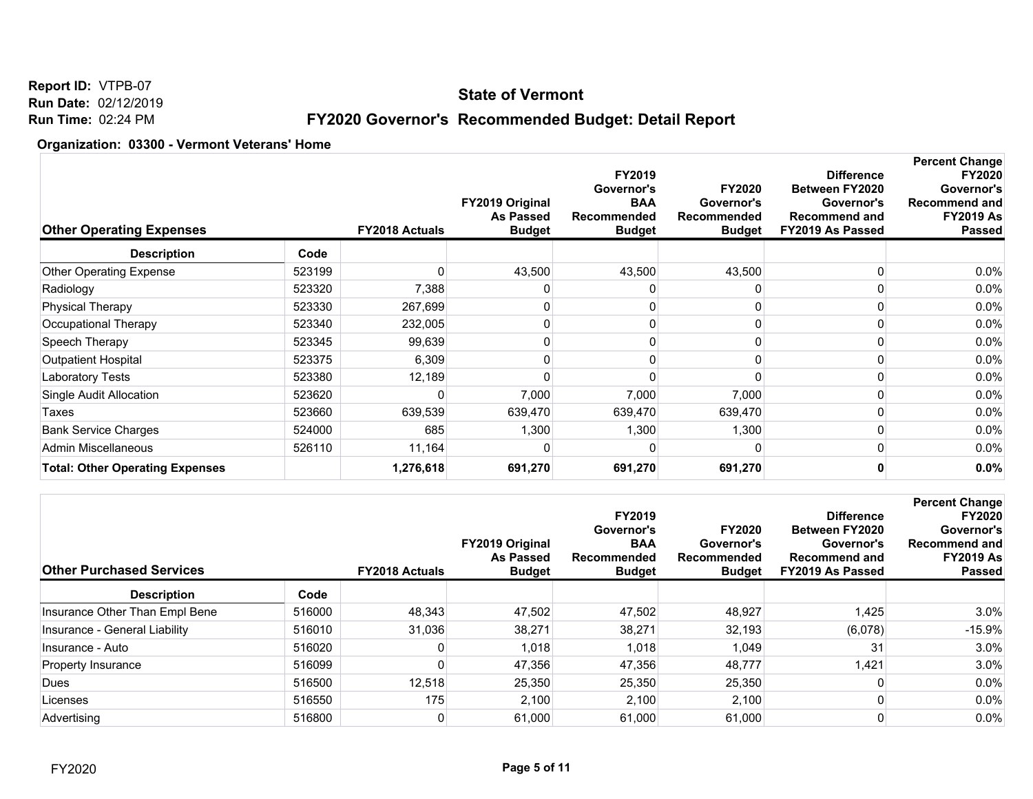### **State of Vermont**

# **FY2020 Governor's Recommended Budget: Detail Report**

| <b>Other Operating Expenses</b>        |        | <b>FY2018 Actuals</b> | FY2019 Original<br><b>As Passed</b><br><b>Budget</b> | FY2019<br>Governor's<br><b>BAA</b><br><b>Recommended</b><br><b>Budget</b> | <b>FY2020</b><br>Governor's<br>Recommended<br><b>Budget</b> | <b>Difference</b><br><b>Between FY2020</b><br>Governor's<br><b>Recommend and</b><br>FY2019 As Passed | <b>Percent Change</b><br><b>FY2020</b><br>Governor's<br>Recommend and<br><b>FY2019 As</b><br><b>Passed</b> |
|----------------------------------------|--------|-----------------------|------------------------------------------------------|---------------------------------------------------------------------------|-------------------------------------------------------------|------------------------------------------------------------------------------------------------------|------------------------------------------------------------------------------------------------------------|
| <b>Description</b>                     | Code   |                       |                                                      |                                                                           |                                                             |                                                                                                      |                                                                                                            |
| <b>Other Operating Expense</b>         | 523199 |                       | 43,500                                               | 43,500                                                                    | 43,500                                                      |                                                                                                      | $0.0\%$                                                                                                    |
| Radiology                              | 523320 | 7,388                 |                                                      |                                                                           |                                                             |                                                                                                      | $0.0\%$                                                                                                    |
| <b>Physical Therapy</b>                | 523330 | 267,699               |                                                      |                                                                           |                                                             |                                                                                                      | $0.0\%$                                                                                                    |
| Occupational Therapy                   | 523340 | 232,005               |                                                      |                                                                           |                                                             |                                                                                                      | $0.0\%$                                                                                                    |
| Speech Therapy                         | 523345 | 99,639                |                                                      |                                                                           |                                                             |                                                                                                      | $0.0\%$                                                                                                    |
| Outpatient Hospital                    | 523375 | 6,309                 |                                                      |                                                                           |                                                             |                                                                                                      | $0.0\%$                                                                                                    |
| Laboratory Tests                       | 523380 | 12,189                |                                                      |                                                                           |                                                             |                                                                                                      | 0.0%                                                                                                       |
| Single Audit Allocation                | 523620 |                       | 7,000                                                | 7,000                                                                     | 7,000                                                       |                                                                                                      | $0.0\%$                                                                                                    |
| Taxes                                  | 523660 | 639,539               | 639,470                                              | 639,470                                                                   | 639,470                                                     |                                                                                                      | $0.0\%$                                                                                                    |
| <b>Bank Service Charges</b>            | 524000 | 685                   | 1,300                                                | 1,300                                                                     | 1,300                                                       |                                                                                                      | $0.0\%$                                                                                                    |
| Admin Miscellaneous                    | 526110 | 11,164                |                                                      |                                                                           |                                                             |                                                                                                      | $0.0\%$                                                                                                    |
| <b>Total: Other Operating Expenses</b> |        | 1,276,618             | 691,270                                              | 691,270                                                                   | 691,270                                                     |                                                                                                      | 0.0%                                                                                                       |

| <b>Other Purchased Services</b> |        | <b>FY2018 Actuals</b> | <b>FY2019 Original</b><br><b>As Passed</b><br><b>Budget</b> | <b>FY2019</b><br>Governor's<br><b>BAA</b><br>Recommended<br><b>Budget</b> | <b>FY2020</b><br>Governor's<br>Recommended<br><b>Budget</b> | <b>Difference</b><br><b>Between FY2020</b><br>Governor's<br><b>Recommend and</b><br>FY2019 As Passed | <b>Percent Change</b><br><b>FY2020</b><br>Governor's<br><b>Recommend and</b><br><b>FY2019 As</b><br><b>Passed</b> |
|---------------------------------|--------|-----------------------|-------------------------------------------------------------|---------------------------------------------------------------------------|-------------------------------------------------------------|------------------------------------------------------------------------------------------------------|-------------------------------------------------------------------------------------------------------------------|
| <b>Description</b>              | Code   |                       |                                                             |                                                                           |                                                             |                                                                                                      |                                                                                                                   |
| Insurance Other Than Empl Bene  | 516000 | 48.343                | 47.502                                                      | 47.502                                                                    | 48,927                                                      | 1.425                                                                                                | 3.0%                                                                                                              |
| Insurance - General Liability   | 516010 | 31,036                | 38,271                                                      | 38,271                                                                    | 32,193                                                      | (6,078)                                                                                              | $-15.9%$                                                                                                          |
| Insurance - Auto                | 516020 |                       | 1,018                                                       | 1,018                                                                     | 1,049                                                       | 31                                                                                                   | 3.0%                                                                                                              |
| Property Insurance              | 516099 |                       | 47,356                                                      | 47,356                                                                    | 48,777                                                      | 1,421                                                                                                | 3.0%                                                                                                              |
| Dues                            | 516500 | 12,518                | 25,350                                                      | 25,350                                                                    | 25,350                                                      |                                                                                                      | 0.0%                                                                                                              |
| Licenses                        | 516550 | 175                   | 2,100                                                       | 2,100                                                                     | 2,100                                                       |                                                                                                      | 0.0%                                                                                                              |
| Advertising                     | 516800 | 0                     | 61,000                                                      | 61,000                                                                    | 61,000                                                      |                                                                                                      | 0.0%                                                                                                              |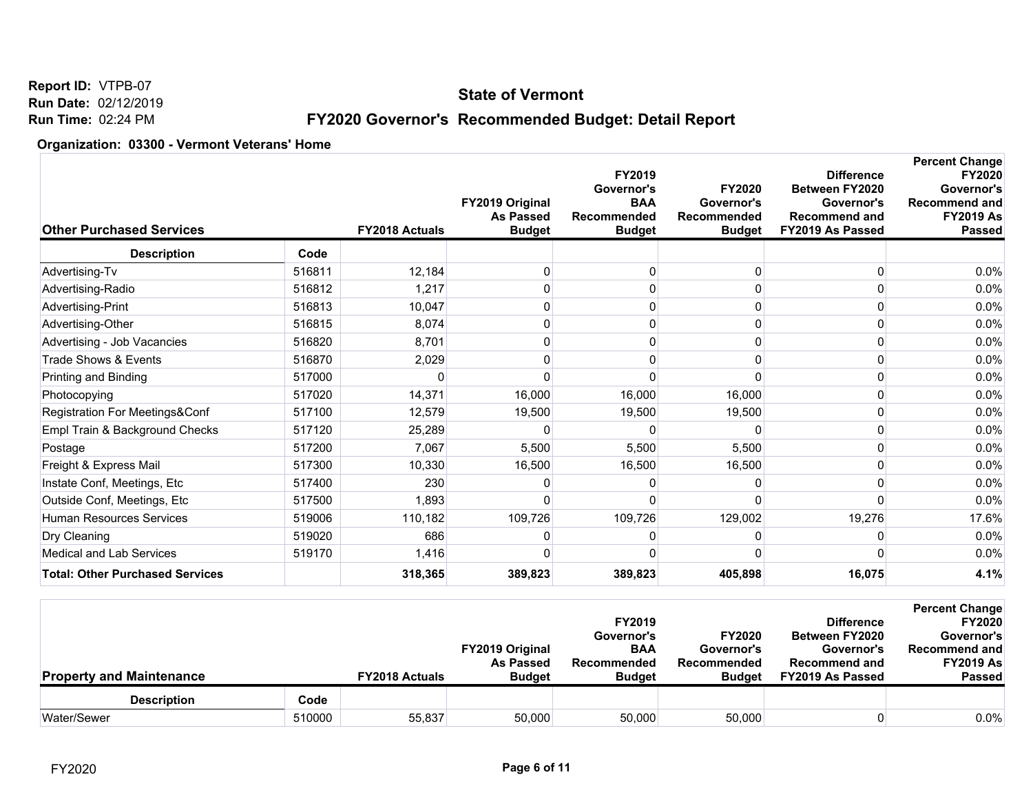### **State of Vermont**

# **FY2020 Governor's Recommended Budget: Detail Report**

| <b>Other Purchased Services</b>        |        | FY2018 Actuals | FY2019 Original<br><b>As Passed</b><br><b>Budget</b> | FY2019<br>Governor's<br><b>BAA</b><br><b>Recommended</b><br><b>Budget</b> | <b>FY2020</b><br>Governor's<br>Recommended<br><b>Budget</b> | <b>Difference</b><br><b>Between FY2020</b><br>Governor's<br><b>Recommend and</b><br>FY2019 As Passed | <b>Percent Change</b><br><b>FY2020</b><br>Governor's<br><b>Recommend and</b><br><b>FY2019 As</b><br><b>Passed</b> |
|----------------------------------------|--------|----------------|------------------------------------------------------|---------------------------------------------------------------------------|-------------------------------------------------------------|------------------------------------------------------------------------------------------------------|-------------------------------------------------------------------------------------------------------------------|
| <b>Description</b>                     | Code   |                |                                                      |                                                                           |                                                             |                                                                                                      |                                                                                                                   |
| Advertising-Tv                         | 516811 | 12,184         | O                                                    | O                                                                         | U                                                           | $\Omega$                                                                                             | 0.0%                                                                                                              |
| Advertising-Radio                      | 516812 | 1,217          |                                                      | 0                                                                         |                                                             |                                                                                                      | 0.0%                                                                                                              |
| Advertising-Print                      | 516813 | 10,047         |                                                      | 0                                                                         |                                                             | O                                                                                                    | 0.0%                                                                                                              |
| Advertising-Other                      | 516815 | 8,074          | 0                                                    | $\Omega$                                                                  |                                                             |                                                                                                      | 0.0%                                                                                                              |
| Advertising - Job Vacancies            | 516820 | 8,701          | 0                                                    | 0                                                                         |                                                             | 0                                                                                                    | 0.0%                                                                                                              |
| Trade Shows & Events                   | 516870 | 2,029          |                                                      | O                                                                         |                                                             |                                                                                                      | 0.0%                                                                                                              |
| Printing and Binding                   | 517000 | 0              |                                                      | ∩                                                                         |                                                             | 0                                                                                                    | 0.0%                                                                                                              |
| Photocopying                           | 517020 | 14,371         | 16,000                                               | 16,000                                                                    | 16,000                                                      |                                                                                                      | 0.0%                                                                                                              |
| Registration For Meetings&Conf         | 517100 | 12,579         | 19,500                                               | 19,500                                                                    | 19,500                                                      | 0                                                                                                    | 0.0%                                                                                                              |
| Empl Train & Background Checks         | 517120 | 25,289         |                                                      |                                                                           |                                                             | 0                                                                                                    | 0.0%                                                                                                              |
| Postage                                | 517200 | 7,067          | 5,500                                                | 5,500                                                                     | 5,500                                                       | 0                                                                                                    | 0.0%                                                                                                              |
| Freight & Express Mail                 | 517300 | 10,330         | 16,500                                               | 16,500                                                                    | 16,500                                                      | O                                                                                                    | 0.0%                                                                                                              |
| Instate Conf, Meetings, Etc            | 517400 | 230            |                                                      | n                                                                         |                                                             | ŋ                                                                                                    | 0.0%                                                                                                              |
| Outside Conf, Meetings, Etc            | 517500 | 1,893          |                                                      | n                                                                         |                                                             | <sup>0</sup>                                                                                         | 0.0%                                                                                                              |
| <b>Human Resources Services</b>        | 519006 | 110,182        | 109,726                                              | 109,726                                                                   | 129,002                                                     | 19,276                                                                                               | 17.6%                                                                                                             |
| Dry Cleaning                           | 519020 | 686            |                                                      | n                                                                         |                                                             | 0                                                                                                    | 0.0%                                                                                                              |
| Medical and Lab Services               | 519170 | 1,416          |                                                      | n                                                                         |                                                             |                                                                                                      | 0.0%                                                                                                              |
| <b>Total: Other Purchased Services</b> |        | 318,365        | 389,823                                              | 389,823                                                                   | 405,898                                                     | 16,075                                                                                               | 4.1%                                                                                                              |

| <b>Property and Maintenance</b> |        | <b>FY2018 Actuals</b> | <b>FY2019 Original</b><br>As Passed<br><b>Budget</b> | <b>FY2019</b><br>Governor's<br><b>BAA</b><br>Recommended<br><b>Budget</b> | <b>FY2020</b><br>Governor's<br>Recommended<br><b>Budget</b> | <b>Difference</b><br><b>Between FY2020</b><br>Governor's<br><b>Recommend and</b><br>FY2019 As Passed | <b>Percent Change</b><br><b>FY2020</b><br>Governor's<br>Recommend and<br><b>FY2019 As</b><br><b>Passed</b> |
|---------------------------------|--------|-----------------------|------------------------------------------------------|---------------------------------------------------------------------------|-------------------------------------------------------------|------------------------------------------------------------------------------------------------------|------------------------------------------------------------------------------------------------------------|
| <b>Description</b>              | Code   |                       |                                                      |                                                                           |                                                             |                                                                                                      |                                                                                                            |
| Water/Sewer                     | 510000 | 55,837                | 50,000                                               | 50,000                                                                    | 50,000                                                      |                                                                                                      | $0.0\%$                                                                                                    |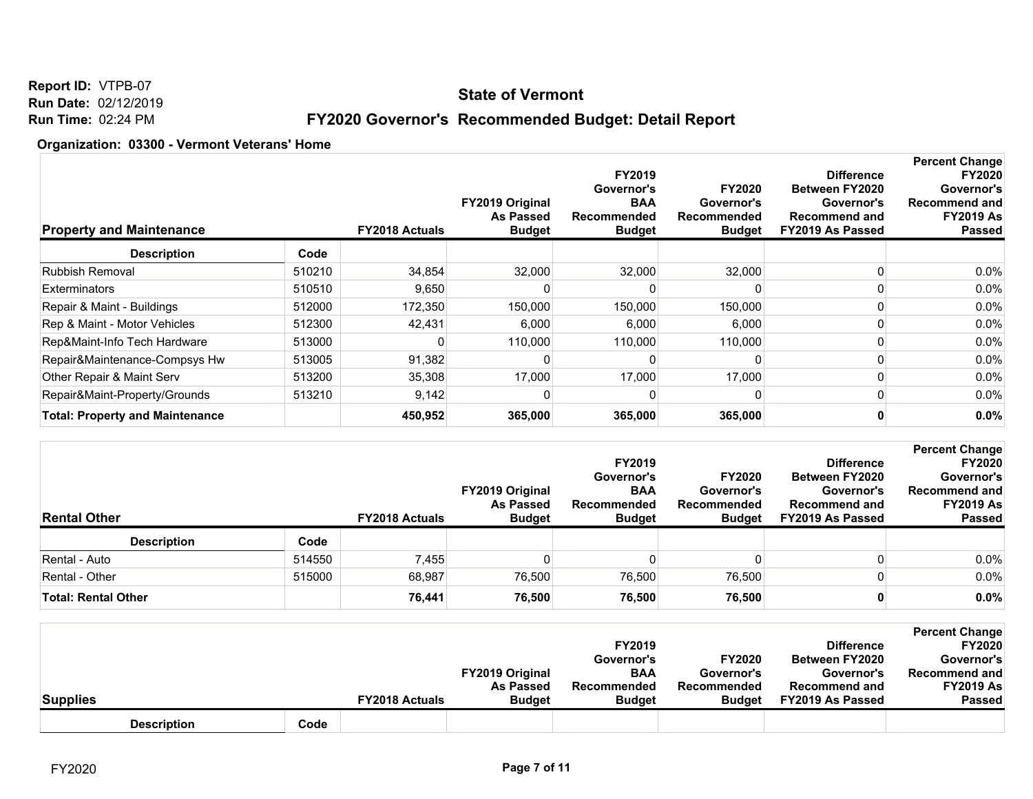### **State of Vermont**

**Report ID:** VTPB-07 **Run Date:** 02/12/2019 **Run Time:** 02:24 PM

# **FY2020 Governor's Recommended Budget: Detail Report**

| <b>Property and Maintenance</b>        |        | <b>FY2018 Actuals</b> | <b>FY2019 Original</b><br><b>As Passed</b><br><b>Budget</b> | FY2019<br>Governor's<br><b>BAA</b><br>Recommended<br><b>Budget</b> | <b>FY2020</b><br>Governor's<br>Recommended<br><b>Budget</b> | <b>Difference</b><br><b>Between FY2020</b><br>Governor's<br><b>Recommend and</b><br>FY2019 As Passed | <b>Percent Change</b><br><b>FY2020</b><br>Governor's<br><b>Recommend and</b><br><b>FY2019 As</b><br><b>Passed</b> |
|----------------------------------------|--------|-----------------------|-------------------------------------------------------------|--------------------------------------------------------------------|-------------------------------------------------------------|------------------------------------------------------------------------------------------------------|-------------------------------------------------------------------------------------------------------------------|
| <b>Description</b>                     | Code   |                       |                                                             |                                                                    |                                                             |                                                                                                      |                                                                                                                   |
| Rubbish Removal                        | 510210 | 34,854                | 32,000                                                      | 32,000                                                             | 32,000                                                      |                                                                                                      | $0.0\%$                                                                                                           |
| <b>Exterminators</b>                   | 510510 | 9,650                 |                                                             |                                                                    |                                                             |                                                                                                      | $0.0\%$                                                                                                           |
| Repair & Maint - Buildings             | 512000 | 172,350               | 150,000                                                     | 150,000                                                            | 150,000                                                     |                                                                                                      | 0.0%                                                                                                              |
| Rep & Maint - Motor Vehicles           | 512300 | 42,431                | 6,000                                                       | 6,000                                                              | 6,000                                                       |                                                                                                      | $0.0\%$                                                                                                           |
| Rep&Maint-Info Tech Hardware           | 513000 |                       | 110,000                                                     | 110,000                                                            | 110,000                                                     |                                                                                                      | 0.0%                                                                                                              |
| Repair&Maintenance-Compsys Hw          | 513005 | 91,382                |                                                             |                                                                    |                                                             |                                                                                                      | $0.0\%$                                                                                                           |
| Other Repair & Maint Serv              | 513200 | 35,308                | 17,000                                                      | 17,000                                                             | 17,000                                                      |                                                                                                      | $0.0\%$                                                                                                           |
| Repair&Maint-Property/Grounds          | 513210 | 9,142                 |                                                             |                                                                    |                                                             |                                                                                                      | 0.0%                                                                                                              |
| <b>Total: Property and Maintenance</b> |        | 450,952               | 365,000                                                     | 365,000                                                            | 365,000                                                     |                                                                                                      | $0.0\%$                                                                                                           |

| <b>Rental Other</b>        |        | <b>FY2018 Actuals</b> | <b>FY2019 Original</b><br><b>As Passed</b><br><b>Budget</b> | <b>FY2019</b><br>Governor's<br><b>BAA</b><br>Recommended<br><b>Budget</b> | <b>FY2020</b><br>Governor's<br>Recommended<br><b>Budget</b> | <b>Difference</b><br><b>Between FY2020</b><br>Governor's<br><b>Recommend and</b><br>FY2019 As Passed | <b>Percent Change</b><br><b>FY2020</b><br>Governor's<br>Recommend and<br><b>FY2019 As</b><br><b>Passed</b> |
|----------------------------|--------|-----------------------|-------------------------------------------------------------|---------------------------------------------------------------------------|-------------------------------------------------------------|------------------------------------------------------------------------------------------------------|------------------------------------------------------------------------------------------------------------|
| <b>Description</b>         | Code   |                       |                                                             |                                                                           |                                                             |                                                                                                      |                                                                                                            |
| Rental - Auto              | 514550 | 7,455                 |                                                             |                                                                           |                                                             |                                                                                                      | $0.0\%$                                                                                                    |
| Rental - Other             | 515000 | 68,987                | 76,500                                                      | 76,500                                                                    | 76,500                                                      |                                                                                                      | $0.0\%$                                                                                                    |
| <b>Total: Rental Other</b> |        | 76,441                | 76,500                                                      | 76,500                                                                    | 76,500                                                      |                                                                                                      | 0.0%                                                                                                       |

|                    |      |                       |                        |               |               |                       | <b>Percent Change</b> |
|--------------------|------|-----------------------|------------------------|---------------|---------------|-----------------------|-----------------------|
|                    |      |                       |                        | <b>FY2019</b> |               | <b>Difference</b>     | <b>FY2020</b>         |
|                    |      |                       |                        | Governor's    | <b>FY2020</b> | <b>Between FY2020</b> | Governor's            |
|                    |      |                       | <b>FY2019 Original</b> | <b>BAA</b>    | Governor's    | Governor's            | Recommend and         |
|                    |      |                       | <b>As Passed</b>       | Recommended   | Recommended   | <b>Recommend and</b>  | <b>FY2019 As</b>      |
| <b>Supplies</b>    |      | <b>FY2018 Actuals</b> | <b>Budget</b>          | <b>Budget</b> | <b>Budget</b> | FY2019 As Passed      | <b>Passed</b>         |
| <b>Description</b> | Code |                       |                        |               |               |                       |                       |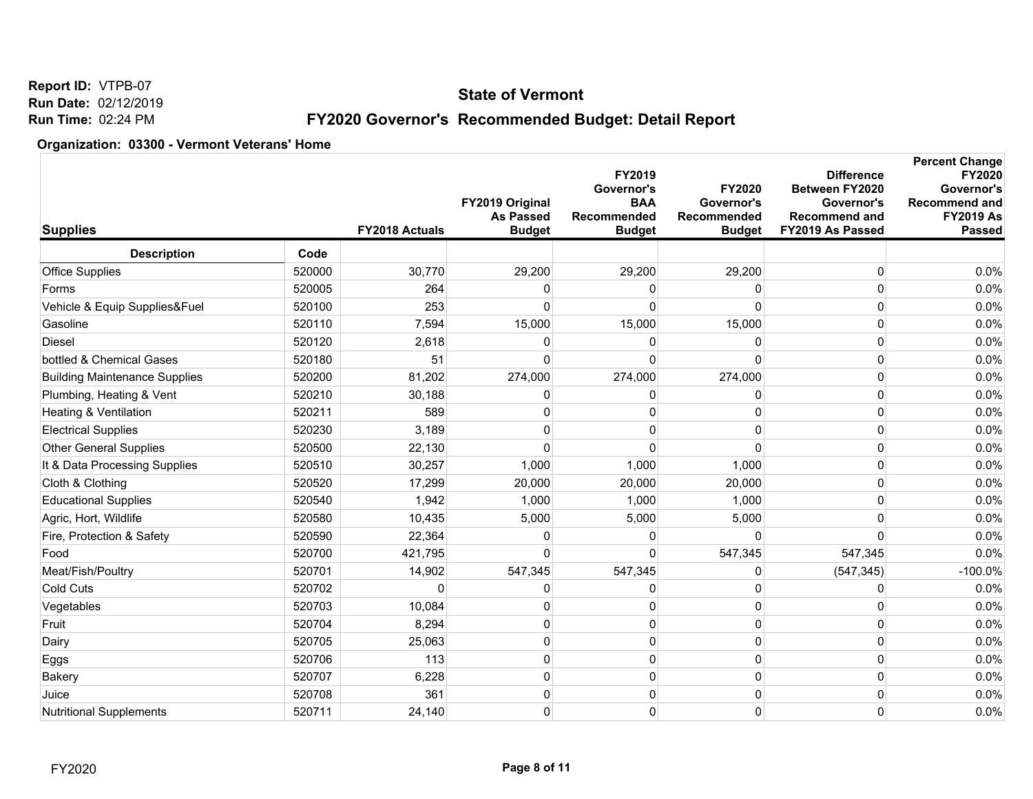### **State of Vermont**

# **FY2020 Governor's Recommended Budget: Detail Report**

| <b>Supplies</b>                      |        | <b>FY2018 Actuals</b> | FY2019 Original<br><b>As Passed</b><br><b>Budget</b> | FY2019<br>Governor's<br><b>BAA</b><br>Recommended<br><b>Budget</b> | FY2020<br>Governor's<br>Recommended<br><b>Budget</b> | <b>Difference</b><br>Between FY2020<br>Governor's<br><b>Recommend and</b><br>FY2019 As Passed | <b>Percent Change</b><br>FY2020<br>Governor's<br>Recommend and<br><b>FY2019 As</b><br><b>Passed</b> |
|--------------------------------------|--------|-----------------------|------------------------------------------------------|--------------------------------------------------------------------|------------------------------------------------------|-----------------------------------------------------------------------------------------------|-----------------------------------------------------------------------------------------------------|
| <b>Description</b>                   | Code   |                       |                                                      |                                                                    |                                                      |                                                                                               |                                                                                                     |
| <b>Office Supplies</b>               | 520000 | 30,770                | 29,200                                               | 29,200                                                             | 29,200                                               | $\boldsymbol{0}$                                                                              | 0.0%                                                                                                |
| Forms                                | 520005 | 264                   | $\Omega$                                             | O                                                                  |                                                      | $\Omega$                                                                                      | 0.0%                                                                                                |
| Vehicle & Equip Supplies&Fuel        | 520100 | 253                   | $\Omega$                                             | $\Omega$                                                           | $\Omega$                                             | 0                                                                                             | 0.0%                                                                                                |
| Gasoline                             | 520110 | 7,594                 | 15,000                                               | 15,000                                                             | 15,000                                               | 0                                                                                             | 0.0%                                                                                                |
| <b>Diesel</b>                        | 520120 | 2,618                 | 0                                                    | 0                                                                  | $\Omega$                                             | $\Omega$                                                                                      | 0.0%                                                                                                |
| bottled & Chemical Gases             | 520180 | 51                    | $\Omega$                                             | $\Omega$                                                           | $\Omega$                                             | $\Omega$                                                                                      | 0.0%                                                                                                |
| <b>Building Maintenance Supplies</b> | 520200 | 81,202                | 274,000                                              | 274,000                                                            | 274,000                                              | 0                                                                                             | 0.0%                                                                                                |
| Plumbing, Heating & Vent             | 520210 | 30,188                | $\Omega$                                             | O                                                                  | O                                                    | $\Omega$                                                                                      | 0.0%                                                                                                |
| Heating & Ventilation                | 520211 | 589                   | $\Omega$                                             | $\mathbf{0}$                                                       | $\Omega$                                             | $\Omega$                                                                                      | 0.0%                                                                                                |
| <b>Electrical Supplies</b>           | 520230 | 3,189                 | $\Omega$                                             | 0                                                                  |                                                      | 0                                                                                             | 0.0%                                                                                                |
| <b>Other General Supplies</b>        | 520500 | 22,130                | $\Omega$                                             | $\Omega$                                                           | <sup>0</sup>                                         | $\Omega$                                                                                      | 0.0%                                                                                                |
| It & Data Processing Supplies        | 520510 | 30,257                | 1,000                                                | 1,000                                                              | 1,000                                                | $\mathbf 0$                                                                                   | 0.0%                                                                                                |
| Cloth & Clothing                     | 520520 | 17,299                | 20,000                                               | 20,000                                                             | 20,000                                               | 0                                                                                             | 0.0%                                                                                                |
| <b>Educational Supplies</b>          | 520540 | 1,942                 | 1,000                                                | 1,000                                                              | 1,000                                                | $\Omega$                                                                                      | 0.0%                                                                                                |
| Agric, Hort, Wildlife                | 520580 | 10,435                | 5,000                                                | 5,000                                                              | 5,000                                                | $\mathbf 0$                                                                                   | 0.0%                                                                                                |
| Fire, Protection & Safety            | 520590 | 22,364                | 0                                                    | 0                                                                  | $\Omega$                                             | $\mathbf{0}$                                                                                  | 0.0%                                                                                                |
| Food                                 | 520700 | 421,795               | $\Omega$                                             | $\Omega$                                                           | 547,345                                              | 547,345                                                                                       | 0.0%                                                                                                |
| Meat/Fish/Poultry                    | 520701 | 14,902                | 547,345                                              | 547,345                                                            | 0                                                    | (547, 345)                                                                                    | $-100.0%$                                                                                           |
| <b>Cold Cuts</b>                     | 520702 | $\mathbf{0}$          | $\Omega$                                             | 0                                                                  | $\Omega$                                             | 0                                                                                             | 0.0%                                                                                                |
| Vegetables                           | 520703 | 10,084                | 0                                                    | 0                                                                  | 0                                                    | $\mathbf{0}$                                                                                  | 0.0%                                                                                                |
| Fruit                                | 520704 | 8,294                 | $\mathbf 0$                                          | $\mathbf{0}$                                                       | $\Omega$                                             | $\mathbf 0$                                                                                   | 0.0%                                                                                                |
| Dairy                                | 520705 | 25,063                | 0                                                    | 0                                                                  | $\Omega$                                             | 0                                                                                             | 0.0%                                                                                                |
| Eggs                                 | 520706 | 113                   | $\mathbf 0$                                          | 0                                                                  | 0                                                    | $\Omega$                                                                                      | 0.0%                                                                                                |
| <b>Bakery</b>                        | 520707 | 6,228                 | $\mathbf 0$                                          | 0                                                                  | 0                                                    | 0                                                                                             | 0.0%                                                                                                |
| Juice                                | 520708 | 361                   | $\Omega$                                             | 0                                                                  | $\Omega$                                             | $\Omega$                                                                                      | 0.0%                                                                                                |
| <b>Nutritional Supplements</b>       | 520711 | 24,140                | $\mathbf 0$                                          | 0                                                                  | 0                                                    | $\overline{0}$                                                                                | 0.0%                                                                                                |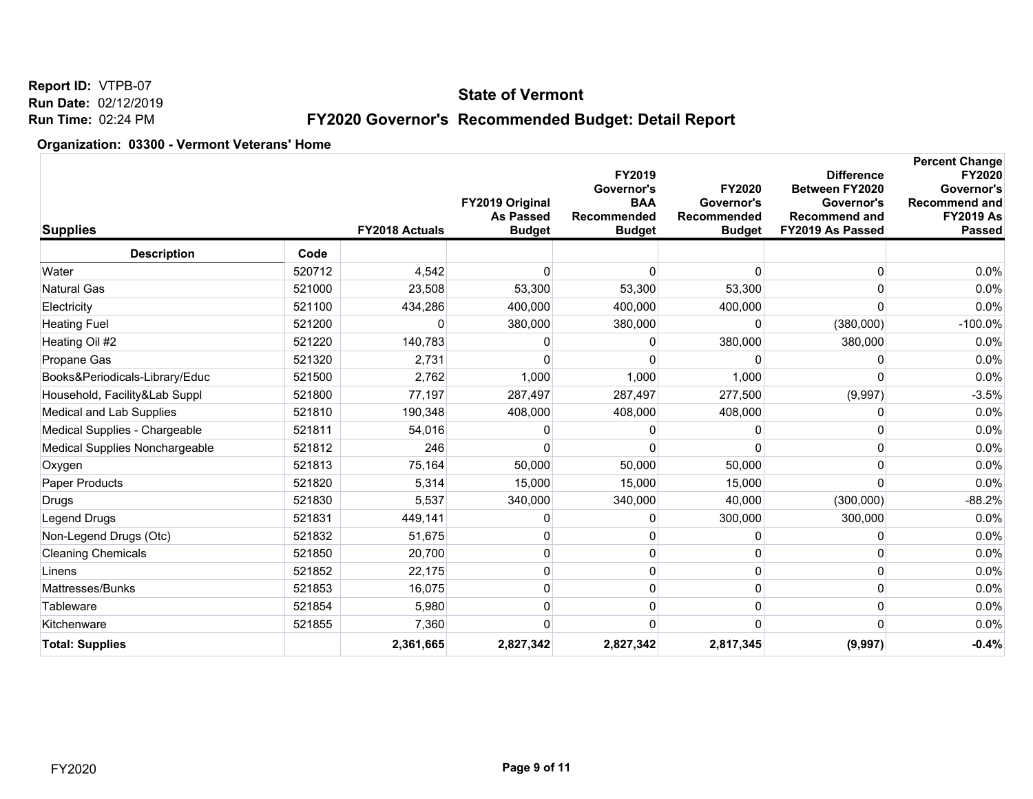### **State of Vermont**

# **FY2020 Governor's Recommended Budget: Detail Report**

| <b>Description</b><br>Code<br>4,542<br>Water<br>520712<br>$\Omega$<br>$\Omega$<br>0<br>Natural Gas<br>521000<br>23,508<br>53,300<br>53,300<br>53,300<br>$\mathbf{0}$<br>521100<br>Electricity<br>434,286<br>400,000<br>400,000<br>400,000<br>$\Omega$<br>521200<br>380,000<br>380,000<br>(380,000)<br><b>Heating Fuel</b><br>0<br>521220<br>140,783<br>380,000<br>Heating Oil #2<br>380,000<br>0<br>0<br>521320<br>Propane Gas<br>2,731<br>$\Omega$<br>O<br>∩<br>0<br>2,762<br>1,000<br>1,000<br>Books&Periodicals-Library/Educ<br>521500<br>1,000<br>$\Omega$<br>Household, Facility&Lab Suppl<br>521800<br>77,197<br>287,497<br>277,500<br>(9,997)<br>287,497<br>Medical and Lab Supplies<br>521810<br>190,348<br>408,000<br>408,000<br>408,000<br>0<br>Medical Supplies - Chargeable<br>521811<br>54,016<br>0<br>0<br>O<br>Medical Supplies Nonchargeable<br>521812<br>246<br>O<br>$\Omega$<br>0<br>521813<br>75,164<br>50,000<br>50,000<br>50,000<br>0<br>Oxygen<br>5,314<br>Paper Products<br>521820<br>15,000<br>15,000<br>15,000<br>0<br>521830<br>5,537<br>340,000<br>340,000<br>40,000<br>(300,000)<br>Drugs<br>Legend Drugs<br>521831<br>449,141<br>300,000<br>300,000<br>0<br>0<br>521832<br>51,675<br>$\Omega$<br>$\Omega$<br>$\mathbf{0}$<br>Non-Legend Drugs (Otc)<br><b>Cleaning Chemicals</b><br>521850<br>20,700<br>0<br>0<br>0<br>O<br>521852<br>22,175<br>Linens<br>0<br>0<br>0<br><sup>0</sup><br>Mattresses/Bunks<br>521853<br>16,075<br>$\mathbf 0$<br>0<br>0<br>0<br>521854<br>5,980<br>0<br>Tableware<br>0<br>$\Omega$<br>O<br>Kitchenware<br>521855<br>7,360<br>0<br>O<br>0<br><b>Total: Supplies</b><br>2,361,665<br>2,827,342<br>2,827,342<br>2,817,345<br>(9,997) | <b>Supplies</b> |  | <b>FY2018 Actuals</b> | FY2019 Original<br><b>As Passed</b><br><b>Budget</b> | FY2019<br>Governor's<br><b>BAA</b><br><b>Recommended</b><br><b>Budget</b> | <b>FY2020</b><br>Governor's<br>Recommended<br><b>Budget</b> | <b>Difference</b><br>Between FY2020<br>Governor's<br><b>Recommend and</b><br>FY2019 As Passed | <b>Percent Change</b><br><b>FY2020</b><br>Governor's<br><b>Recommend and</b><br><b>FY2019 As</b><br><b>Passed</b> |
|-----------------------------------------------------------------------------------------------------------------------------------------------------------------------------------------------------------------------------------------------------------------------------------------------------------------------------------------------------------------------------------------------------------------------------------------------------------------------------------------------------------------------------------------------------------------------------------------------------------------------------------------------------------------------------------------------------------------------------------------------------------------------------------------------------------------------------------------------------------------------------------------------------------------------------------------------------------------------------------------------------------------------------------------------------------------------------------------------------------------------------------------------------------------------------------------------------------------------------------------------------------------------------------------------------------------------------------------------------------------------------------------------------------------------------------------------------------------------------------------------------------------------------------------------------------------------------------------------------------------------------------------------------------------------------------------------|-----------------|--|-----------------------|------------------------------------------------------|---------------------------------------------------------------------------|-------------------------------------------------------------|-----------------------------------------------------------------------------------------------|-------------------------------------------------------------------------------------------------------------------|
|                                                                                                                                                                                                                                                                                                                                                                                                                                                                                                                                                                                                                                                                                                                                                                                                                                                                                                                                                                                                                                                                                                                                                                                                                                                                                                                                                                                                                                                                                                                                                                                                                                                                                               |                 |  |                       |                                                      |                                                                           |                                                             |                                                                                               |                                                                                                                   |
|                                                                                                                                                                                                                                                                                                                                                                                                                                                                                                                                                                                                                                                                                                                                                                                                                                                                                                                                                                                                                                                                                                                                                                                                                                                                                                                                                                                                                                                                                                                                                                                                                                                                                               |                 |  |                       |                                                      |                                                                           |                                                             |                                                                                               | 0.0%                                                                                                              |
|                                                                                                                                                                                                                                                                                                                                                                                                                                                                                                                                                                                                                                                                                                                                                                                                                                                                                                                                                                                                                                                                                                                                                                                                                                                                                                                                                                                                                                                                                                                                                                                                                                                                                               |                 |  |                       |                                                      |                                                                           |                                                             |                                                                                               | 0.0%                                                                                                              |
|                                                                                                                                                                                                                                                                                                                                                                                                                                                                                                                                                                                                                                                                                                                                                                                                                                                                                                                                                                                                                                                                                                                                                                                                                                                                                                                                                                                                                                                                                                                                                                                                                                                                                               |                 |  |                       |                                                      |                                                                           |                                                             |                                                                                               | 0.0%                                                                                                              |
|                                                                                                                                                                                                                                                                                                                                                                                                                                                                                                                                                                                                                                                                                                                                                                                                                                                                                                                                                                                                                                                                                                                                                                                                                                                                                                                                                                                                                                                                                                                                                                                                                                                                                               |                 |  |                       |                                                      |                                                                           |                                                             |                                                                                               | $-100.0%$                                                                                                         |
|                                                                                                                                                                                                                                                                                                                                                                                                                                                                                                                                                                                                                                                                                                                                                                                                                                                                                                                                                                                                                                                                                                                                                                                                                                                                                                                                                                                                                                                                                                                                                                                                                                                                                               |                 |  |                       |                                                      |                                                                           |                                                             |                                                                                               | 0.0%                                                                                                              |
|                                                                                                                                                                                                                                                                                                                                                                                                                                                                                                                                                                                                                                                                                                                                                                                                                                                                                                                                                                                                                                                                                                                                                                                                                                                                                                                                                                                                                                                                                                                                                                                                                                                                                               |                 |  |                       |                                                      |                                                                           |                                                             |                                                                                               | 0.0%                                                                                                              |
|                                                                                                                                                                                                                                                                                                                                                                                                                                                                                                                                                                                                                                                                                                                                                                                                                                                                                                                                                                                                                                                                                                                                                                                                                                                                                                                                                                                                                                                                                                                                                                                                                                                                                               |                 |  |                       |                                                      |                                                                           |                                                             |                                                                                               | 0.0%                                                                                                              |
|                                                                                                                                                                                                                                                                                                                                                                                                                                                                                                                                                                                                                                                                                                                                                                                                                                                                                                                                                                                                                                                                                                                                                                                                                                                                                                                                                                                                                                                                                                                                                                                                                                                                                               |                 |  |                       |                                                      |                                                                           |                                                             |                                                                                               | $-3.5%$                                                                                                           |
|                                                                                                                                                                                                                                                                                                                                                                                                                                                                                                                                                                                                                                                                                                                                                                                                                                                                                                                                                                                                                                                                                                                                                                                                                                                                                                                                                                                                                                                                                                                                                                                                                                                                                               |                 |  |                       |                                                      |                                                                           |                                                             |                                                                                               | 0.0%                                                                                                              |
|                                                                                                                                                                                                                                                                                                                                                                                                                                                                                                                                                                                                                                                                                                                                                                                                                                                                                                                                                                                                                                                                                                                                                                                                                                                                                                                                                                                                                                                                                                                                                                                                                                                                                               |                 |  |                       |                                                      |                                                                           |                                                             |                                                                                               | 0.0%                                                                                                              |
|                                                                                                                                                                                                                                                                                                                                                                                                                                                                                                                                                                                                                                                                                                                                                                                                                                                                                                                                                                                                                                                                                                                                                                                                                                                                                                                                                                                                                                                                                                                                                                                                                                                                                               |                 |  |                       |                                                      |                                                                           |                                                             |                                                                                               | 0.0%                                                                                                              |
|                                                                                                                                                                                                                                                                                                                                                                                                                                                                                                                                                                                                                                                                                                                                                                                                                                                                                                                                                                                                                                                                                                                                                                                                                                                                                                                                                                                                                                                                                                                                                                                                                                                                                               |                 |  |                       |                                                      |                                                                           |                                                             |                                                                                               | 0.0%                                                                                                              |
|                                                                                                                                                                                                                                                                                                                                                                                                                                                                                                                                                                                                                                                                                                                                                                                                                                                                                                                                                                                                                                                                                                                                                                                                                                                                                                                                                                                                                                                                                                                                                                                                                                                                                               |                 |  |                       |                                                      |                                                                           |                                                             |                                                                                               | 0.0%                                                                                                              |
|                                                                                                                                                                                                                                                                                                                                                                                                                                                                                                                                                                                                                                                                                                                                                                                                                                                                                                                                                                                                                                                                                                                                                                                                                                                                                                                                                                                                                                                                                                                                                                                                                                                                                               |                 |  |                       |                                                      |                                                                           |                                                             |                                                                                               | $-88.2%$                                                                                                          |
|                                                                                                                                                                                                                                                                                                                                                                                                                                                                                                                                                                                                                                                                                                                                                                                                                                                                                                                                                                                                                                                                                                                                                                                                                                                                                                                                                                                                                                                                                                                                                                                                                                                                                               |                 |  |                       |                                                      |                                                                           |                                                             |                                                                                               | 0.0%                                                                                                              |
|                                                                                                                                                                                                                                                                                                                                                                                                                                                                                                                                                                                                                                                                                                                                                                                                                                                                                                                                                                                                                                                                                                                                                                                                                                                                                                                                                                                                                                                                                                                                                                                                                                                                                               |                 |  |                       |                                                      |                                                                           |                                                             |                                                                                               | 0.0%                                                                                                              |
|                                                                                                                                                                                                                                                                                                                                                                                                                                                                                                                                                                                                                                                                                                                                                                                                                                                                                                                                                                                                                                                                                                                                                                                                                                                                                                                                                                                                                                                                                                                                                                                                                                                                                               |                 |  |                       |                                                      |                                                                           |                                                             |                                                                                               | 0.0%                                                                                                              |
|                                                                                                                                                                                                                                                                                                                                                                                                                                                                                                                                                                                                                                                                                                                                                                                                                                                                                                                                                                                                                                                                                                                                                                                                                                                                                                                                                                                                                                                                                                                                                                                                                                                                                               |                 |  |                       |                                                      |                                                                           |                                                             |                                                                                               | 0.0%                                                                                                              |
|                                                                                                                                                                                                                                                                                                                                                                                                                                                                                                                                                                                                                                                                                                                                                                                                                                                                                                                                                                                                                                                                                                                                                                                                                                                                                                                                                                                                                                                                                                                                                                                                                                                                                               |                 |  |                       |                                                      |                                                                           |                                                             |                                                                                               | 0.0%                                                                                                              |
|                                                                                                                                                                                                                                                                                                                                                                                                                                                                                                                                                                                                                                                                                                                                                                                                                                                                                                                                                                                                                                                                                                                                                                                                                                                                                                                                                                                                                                                                                                                                                                                                                                                                                               |                 |  |                       |                                                      |                                                                           |                                                             |                                                                                               | 0.0%                                                                                                              |
|                                                                                                                                                                                                                                                                                                                                                                                                                                                                                                                                                                                                                                                                                                                                                                                                                                                                                                                                                                                                                                                                                                                                                                                                                                                                                                                                                                                                                                                                                                                                                                                                                                                                                               |                 |  |                       |                                                      |                                                                           |                                                             |                                                                                               | 0.0%                                                                                                              |
|                                                                                                                                                                                                                                                                                                                                                                                                                                                                                                                                                                                                                                                                                                                                                                                                                                                                                                                                                                                                                                                                                                                                                                                                                                                                                                                                                                                                                                                                                                                                                                                                                                                                                               |                 |  |                       |                                                      |                                                                           |                                                             |                                                                                               | $-0.4%$                                                                                                           |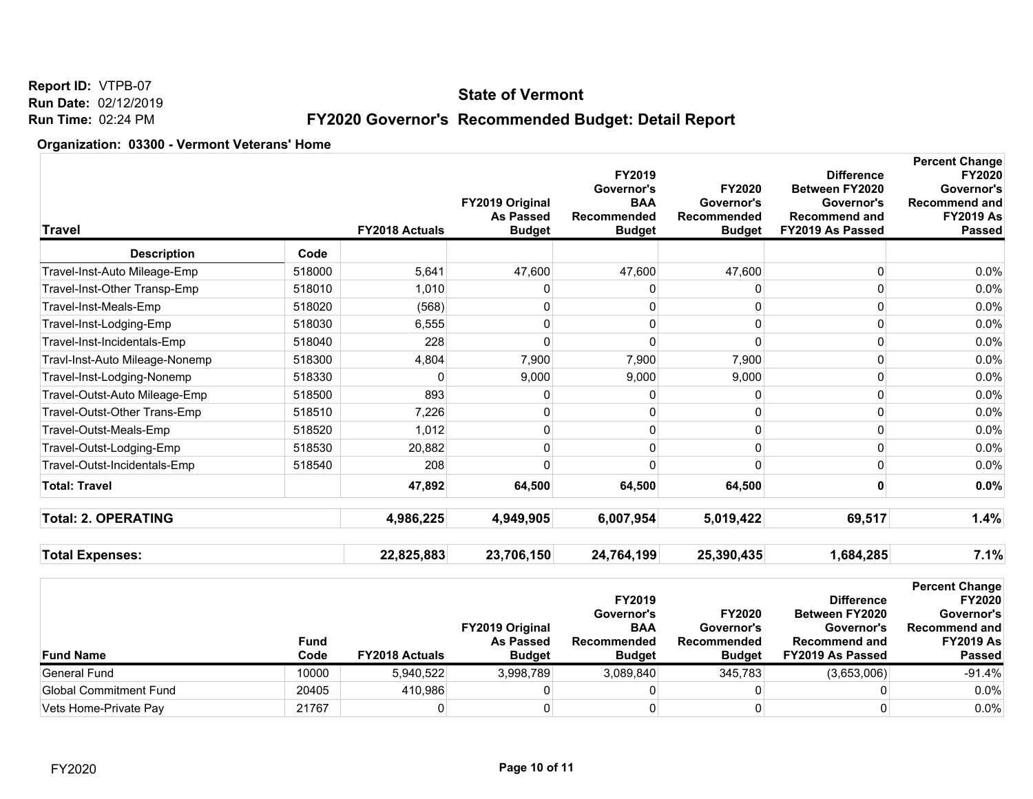### **State of Vermont**

# **FY2020 Governor's Recommended Budget: Detail Report**

| <b>Travel</b>                  |        | <b>FY2018 Actuals</b> | FY2019 Original<br><b>As Passed</b><br><b>Budget</b> | FY2019<br>Governor's<br><b>BAA</b><br>Recommended<br><b>Budget</b> | <b>FY2020</b><br>Governor's<br>Recommended<br><b>Budget</b> | <b>Difference</b><br>Between FY2020<br>Governor's<br><b>Recommend and</b><br>FY2019 As Passed | <b>Percent Change</b><br><b>FY2020</b><br>Governor's<br><b>Recommend and</b><br><b>FY2019 As</b><br><b>Passed</b> |
|--------------------------------|--------|-----------------------|------------------------------------------------------|--------------------------------------------------------------------|-------------------------------------------------------------|-----------------------------------------------------------------------------------------------|-------------------------------------------------------------------------------------------------------------------|
| <b>Description</b>             | Code   |                       |                                                      |                                                                    |                                                             |                                                                                               |                                                                                                                   |
| Travel-Inst-Auto Mileage-Emp   | 518000 | 5,641                 | 47,600                                               | 47,600                                                             | 47,600                                                      | $\Omega$                                                                                      | 0.0%                                                                                                              |
| Travel-Inst-Other Transp-Emp   | 518010 | 1,010                 | 0                                                    | 0                                                                  | n                                                           | $\Omega$                                                                                      | 0.0%                                                                                                              |
| Travel-Inst-Meals-Emp          | 518020 | (568)                 | 0                                                    | 0                                                                  | $\mathbf 0$                                                 | $\Omega$                                                                                      | 0.0%                                                                                                              |
| Travel-Inst-Lodging-Emp        | 518030 | 6,555                 | 0                                                    | 0                                                                  | $\Omega$                                                    | <sup>0</sup>                                                                                  | $0.0\%$                                                                                                           |
| Travel-Inst-Incidentals-Emp    | 518040 | 228                   | 0                                                    | 0                                                                  | $\Omega$                                                    | $\Omega$                                                                                      | 0.0%                                                                                                              |
| Travl-Inst-Auto Mileage-Nonemp | 518300 | 4,804                 | 7,900                                                | 7,900                                                              | 7,900                                                       | 0                                                                                             | 0.0%                                                                                                              |
| Travel-Inst-Lodging-Nonemp     | 518330 | 0                     | 9,000                                                | 9,000                                                              | 9,000                                                       | $\mathbf{0}$                                                                                  | 0.0%                                                                                                              |
| Travel-Outst-Auto Mileage-Emp  | 518500 | 893                   | 0                                                    | 0                                                                  | $\mathbf 0$                                                 | $\Omega$                                                                                      | 0.0%                                                                                                              |
| Travel-Outst-Other Trans-Emp   | 518510 | 7,226                 | 0                                                    | 0                                                                  | 0                                                           | $\mathbf{0}$                                                                                  | 0.0%                                                                                                              |
| Travel-Outst-Meals-Emp         | 518520 | 1,012                 | 0                                                    | 0                                                                  | 0                                                           | $\Omega$                                                                                      | 0.0%                                                                                                              |
| Travel-Outst-Lodging-Emp       | 518530 | 20,882                | 0                                                    | 0                                                                  | 0                                                           | $\Omega$                                                                                      | 0.0%                                                                                                              |
| Travel-Outst-Incidentals-Emp   | 518540 | 208                   | $\Omega$                                             | 0                                                                  | $\Omega$                                                    | 0                                                                                             | 0.0%                                                                                                              |
| <b>Total: Travel</b>           |        | 47,892                | 64,500                                               | 64,500                                                             | 64,500                                                      |                                                                                               | 0.0%                                                                                                              |
| <b>Total: 2. OPERATING</b>     |        | 4,986,225             | 4,949,905                                            | 6,007,954                                                          | 5,019,422                                                   | 69,517                                                                                        | 1.4%                                                                                                              |
| <b>Total Expenses:</b>         |        | 22,825,883            | 23,706,150                                           | 24,764,199                                                         | 25,390,435                                                  | 1,684,285                                                                                     | 7.1%                                                                                                              |
|                                |        |                       |                                                      | FY2019<br>Governor's                                               | FY2020                                                      | <b>Difference</b><br>Between FY2020                                                           | <b>Percent Change</b><br><b>FY2020</b><br>Governor's                                                              |

| <b>Fund Name</b>       | Fund<br>Code | <b>FY2018 Actuals</b> | <b>FY2019 Original</b><br><b>As Passed</b><br><b>Budget</b> | .<br>Governor's<br><b>BAA</b><br>Recommended<br><b>Budget</b> | <b>FY2020</b><br>Governor's<br>Recommended<br><b>Budget</b> | <u>Puuviviivu</u><br><b>Between FY2020</b><br>Governor's<br>Recommend and<br>FY2019 As Passed | . . <i>l</i> vlu<br>Governor's<br>Recommend and<br><b>FY2019 As</b><br><b>Passed</b> |
|------------------------|--------------|-----------------------|-------------------------------------------------------------|---------------------------------------------------------------|-------------------------------------------------------------|-----------------------------------------------------------------------------------------------|--------------------------------------------------------------------------------------|
| General Fund           | 10000        | 5,940,522             | 3,998,789                                                   | 3.089.840                                                     | 345.783                                                     | (3,653,006)                                                                                   | $-91.4%$                                                                             |
| Global Commitment Fund | 20405        | 410.986               |                                                             |                                                               |                                                             |                                                                                               | 0.0%                                                                                 |
| Vets Home-Private Pay  | 21767        |                       |                                                             |                                                               |                                                             |                                                                                               | 0.0%                                                                                 |